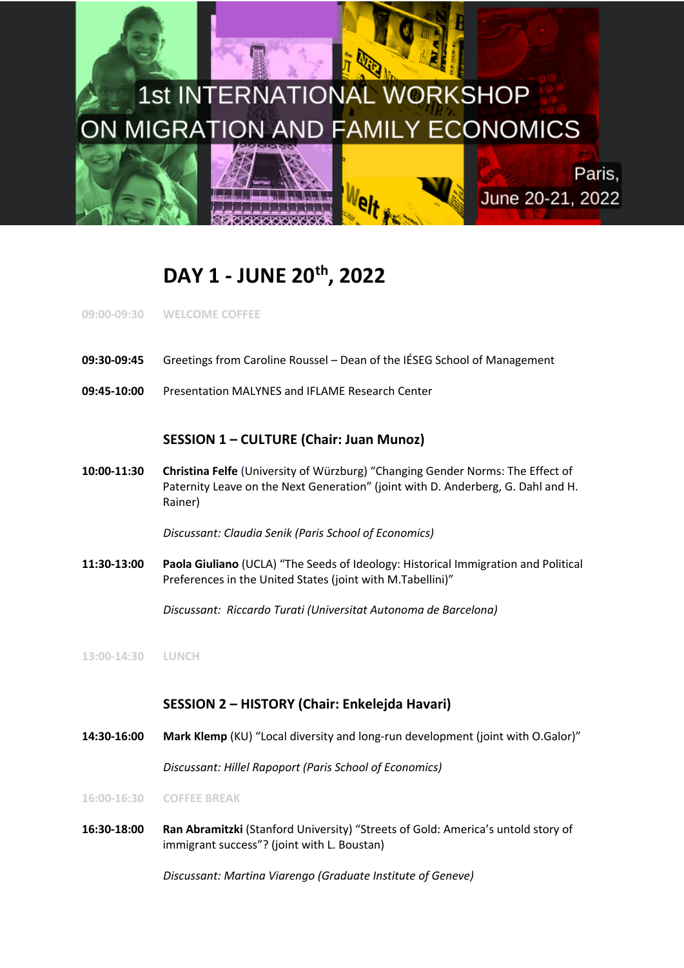

# **DAY 1 - JUNE 20th, 2022**

**09:00-09:30 WELCOME COFFEE**

- **09:30-09:45** Greetings from Caroline Roussel Dean of the IÉSEG School of Management
- **09:45-10:00** Presentation MALYNES and IFLAME Research Center

#### **SESSION 1 – CULTURE (Chair: Juan Munoz)**

**10:00-11:30 Christina Felfe** (University of Würzburg) "Changing Gender Norms: The Effect of Paternity Leave on the Next Generation" (joint with D. Anderberg, G. Dahl and H. Rainer)

*Discussant: Claudia Senik (Paris School of Economics)*

**11:30-13:00 Paola Giuliano** (UCLA) "The Seeds of Ideology: Historical Immigration and Political Preferences in the United States (joint with M.Tabellini)"

*Discussant: Riccardo Turati (Universitat Autonoma de Barcelona)*

**13:00-14:30 LUNCH**

### **SESSION 2 – HISTORY (Chair: Enkelejda Havari)**

**14:30-16:00 Mark Klemp** (KU) "Local diversity and long-run development (joint with O.Galor)"

*Discussant: Hillel Rapoport (Paris School of Economics)*

**16:00-16:30 COFFEE BREAK**

**16:30-18:00 Ran Abramitzki** (Stanford University) "Streets of Gold: America's untold story of immigrant success"? (joint with L. Boustan)

*Discussant: Martina Viarengo (Graduate Institute of Geneve)*